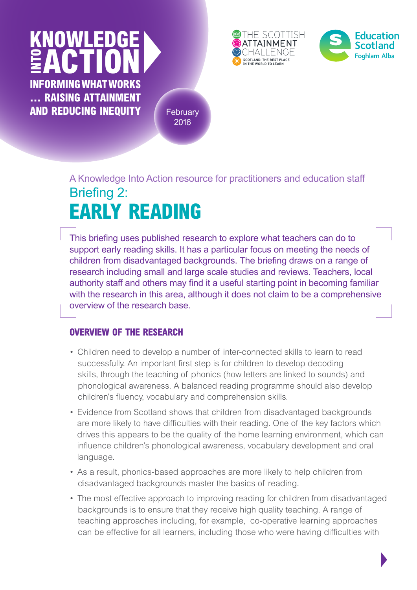# **KNOWLEDGE**<br>**EACTION**

**INFORMING WHAT WORKS … RAISING ATTAINMENT AND REDUCING INEQUITY**





**February** 2016

**EARLY READING** A Knowledge Into Action resource for practitioners and education staff Briefing 2:

This briefing uses published research to explore what teachers can do to support early reading skills. It has a particular focus on meeting the needs of children from disadvantaged backgrounds. The briefing draws on a range of research including small and large scale studies and reviews. Teachers, local authority staff and others may find it a useful starting point in becoming familiar with the research in this area, although it does not claim to be a comprehensive overview of the research base.

# **OVERVIEW OF THE RESEARCH**

- Children need to develop a number of inter-connected skills to learn to read successfully. An important first step is for children to develop decoding skills, through the teaching of phonics (how letters are linked to sounds) and phonological awareness. A balanced reading programme should also develop children's fluency, vocabulary and comprehension skills.
- Evidence from Scotland shows that children from disadvantaged backgrounds are more likely to have difficulties with their reading. One of the key factors which drives this appears to be the quality of the home learning environment, which can influence children's phonological awareness, vocabulary development and oral language.
- As a result, phonics-based approaches are more likely to help children from disadvantaged backgrounds master the basics of reading.
- The most effective approach to improving reading for children from disadvantaged backgrounds is to ensure that they receive high quality teaching. A range of teaching approaches including, for example, co-operative learning approaches can be effective for all learners, including those who were having difficulties with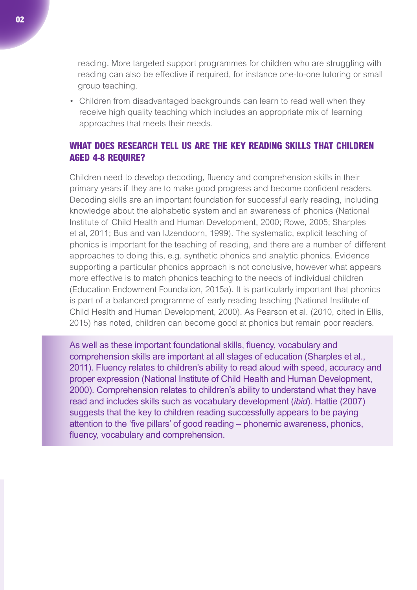reading. More targeted support programmes for children who are struggling with reading can also be effective if required, for instance one-to-one tutoring or small group teaching.

• Children from disadvantaged backgrounds can learn to read well when they receive high quality teaching which includes an appropriate mix of learning approaches that meets their needs.

# **WHAT DOES RESEARCH TELL US ARE THE KEY READING SKILLS THAT CHILDREN AGED 4-8 REQUIRE?**

Children need to develop decoding, fluency and comprehension skills in their primary years if they are to make good progress and become confident readers. Decoding skills are an important foundation for successful early reading, including knowledge about the alphabetic system and an awareness of phonics (National Institute of Child Health and Human Development, 2000; Rowe, 2005; Sharples et al, 2011; Bus and van IJzendoorn, 1999). The systematic, explicit teaching of phonics is important for the teaching of reading, and there are a number of different approaches to doing this, e.g. synthetic phonics and analytic phonics. Evidence supporting a particular phonics approach is not conclusive, however what appears more effective is to match phonics teaching to the needs of individual children (Education Endowment Foundation, 2015a). It is particularly important that phonics is part of a balanced programme of early reading teaching (National Institute of Child Health and Human Development, 2000). As Pearson et al. (2010, cited in Ellis, 2015) has noted, children can become good at phonics but remain poor readers.

As well as these important foundational skills, fluency, vocabulary and comprehension skills are important at all stages of education (Sharples et al., 2011). Fluency relates to children's ability to read aloud with speed, accuracy and proper expression (National Institute of Child Health and Human Development, 2000). Comprehension relates to children's ability to understand what they have read and includes skills such as vocabulary development (*ibid*). Hattie (2007) suggests that the key to children reading successfully appears to be paying attention to the 'five pillars' of good reading – phonemic awareness, phonics, fluency, vocabulary and comprehension.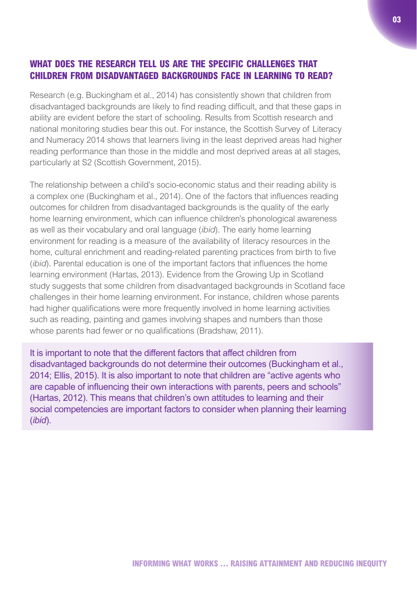# **WHAT DOES THE RESEARCH TELL US ARE THE SPECIFIC CHALLENGES THAT CHILDREN FROM DISADVANTAGED BACKGROUNDS FACE IN LEARNING TO READ?**

Research (e.g. Buckingham et al., 2014) has consistently shown that children from disadvantaged backgrounds are likely to find reading difficult, and that these gaps in ability are evident before the start of schooling. Results from Scottish research and national monitoring studies bear this out. For instance, the Scottish Survey of Literacy and Numeracy 2014 shows that learners living in the least deprived areas had higher reading performance than those in the middle and most deprived areas at all stages, particularly at S2 (Scottish Government, 2015).

The relationship between a child's socio-economic status and their reading ability is a complex one (Buckingham et al., 2014). One of the factors that influences reading outcomes for children from disadvantaged backgrounds is the quality of the early home learning environment, which can influence children's phonological awareness as well as their vocabulary and oral language (*ibid*). The early home learning environment for reading is a measure of the availability of literacy resources in the home, cultural enrichment and reading-related parenting practices from birth to five (*ibid*). Parental education is one of the important factors that influences the home learning environment (Hartas, 2013). Evidence from the Growing Up in Scotland study suggests that some children from disadvantaged backgrounds in Scotland face challenges in their home learning environment. For instance, children whose parents had higher qualifications were more frequently involved in home learning activities such as reading, painting and games involving shapes and numbers than those whose parents had fewer or no qualifications (Bradshaw, 2011).

It is important to note that the different factors that affect children from disadvantaged backgrounds do not determine their outcomes (Buckingham et al., 2014; Ellis, 2015). It is also important to note that children are "active agents who are capable of influencing their own interactions with parents, peers and schools" (Hartas, 2012). This means that children's own attitudes to learning and their social competencies are important factors to consider when planning their learning (*ibid*).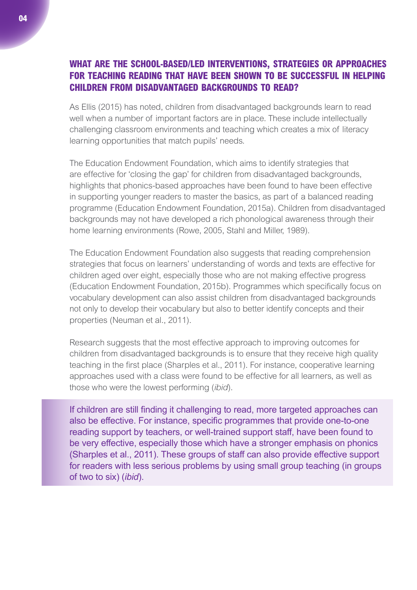# **WHAT ARE THE SCHOOL-BASED/LED INTERVENTIONS, STRATEGIES OR APPROACHES FOR TEACHING READING THAT HAVE BEEN SHOWN TO BE SUCCESSFUL IN HELPING CHILDREN FROM DISADVANTAGED BACKGROUNDS TO READ?**

As Ellis (2015) has noted, children from disadvantaged backgrounds learn to read well when a number of important factors are in place. These include intellectually challenging classroom environments and teaching which creates a mix of literacy learning opportunities that match pupils' needs.

The Education Endowment Foundation, which aims to identify strategies that are effective for 'closing the gap' for children from disadvantaged backgrounds, highlights that phonics-based approaches have been found to have been effective in supporting younger readers to master the basics, as part of a balanced reading programme (Education Endowment Foundation, 2015a). Children from disadvantaged backgrounds may not have developed a rich phonological awareness through their home learning environments (Rowe, 2005, Stahl and Miller, 1989).

The Education Endowment Foundation also suggests that reading comprehension strategies that focus on learners' understanding of words and texts are effective for children aged over eight, especially those who are not making effective progress (Education Endowment Foundation, 2015b). Programmes which specifically focus on vocabulary development can also assist children from disadvantaged backgrounds not only to develop their vocabulary but also to better identify concepts and their properties (Neuman et al., 2011).

Research suggests that the most effective approach to improving outcomes for children from disadvantaged backgrounds is to ensure that they receive high quality teaching in the first place (Sharples et al., 2011). For instance, cooperative learning approaches used with a class were found to be effective for all learners, as well as those who were the lowest performing (*ibid*).

If children are still finding it challenging to read, more targeted approaches can also be effective. For instance, specific programmes that provide one-to-one reading support by teachers, or well-trained support staff, have been found to be very effective, especially those which have a stronger emphasis on phonics (Sharples et al., 2011). These groups of staff can also provide effective support for readers with less serious problems by using small group teaching (in groups of two to six) (*ibid*).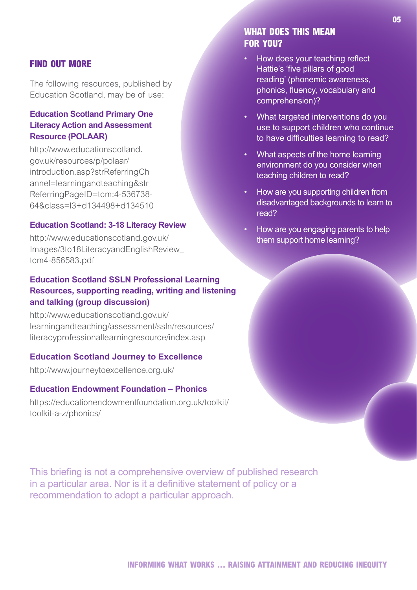## **FIND OUT MORE**

The following resources, published by Education Scotland, may be of use:

## **Education Scotland Primary One Literacy Action and Assessment Resource (POLAAR)**

[http://www.educationscotland.](http://www.educationscotland.gov.uk/resources/p/polaar/introduction.asp?strReferringChannel=learningandteaching&strReferringPageID=tcm:4-536738-64&class=l3+d134498+d134510) [gov.uk/resources/p/polaar/](http://www.educationscotland.gov.uk/resources/p/polaar/introduction.asp?strReferringChannel=learningandteaching&strReferringPageID=tcm:4-536738-64&class=l3+d134498+d134510) [introduction.asp?strReferringCh](http://www.educationscotland.gov.uk/resources/p/polaar/introduction.asp?strReferringChannel=learningandteaching&strReferringPageID=tcm:4-536738-64&class=l3+d134498+d134510) [annel=learningandteaching&str](http://www.educationscotland.gov.uk/resources/p/polaar/introduction.asp?strReferringChannel=learningandteaching&strReferringPageID=tcm:4-536738-64&class=l3+d134498+d134510) [ReferringPageID=tcm:4-536738-](http://www.educationscotland.gov.uk/resources/p/polaar/introduction.asp?strReferringChannel=learningandteaching&strReferringPageID=tcm:4-536738-64&class=l3+d134498+d134510) [64&class=l3+d134498+d134510](http://www.educationscotland.gov.uk/resources/p/polaar/introduction.asp?strReferringChannel=learningandteaching&strReferringPageID=tcm:4-536738-64&class=l3+d134498+d134510)

#### **Education Scotland: 3-18 Literacy Review**

[http://www.educationscotland.gov.uk/](http://www.educationscotland.gov.uk/Images/3to18LiteracyandEnglishReview_tcm4-856583.pdf) [Images/3to18LiteracyandEnglishReview\\_](http://www.educationscotland.gov.uk/Images/3to18LiteracyandEnglishReview_tcm4-856583.pdf) [tcm4-856583.pdf](http://www.educationscotland.gov.uk/Images/3to18LiteracyandEnglishReview_tcm4-856583.pdf) 

# **Education Scotland SSLN Professional Learning Resources, supporting reading, writing and listening and talking (group discussion)**

[http://www.educationscotland.gov.uk/](http://www.educationscotland.gov.uk/learningandteaching/assessment/ssln/resources/literacyprofessionallearningresource/index.asp) [learningandteaching/assessment/ssln/resources/](http://www.educationscotland.gov.uk/learningandteaching/assessment/ssln/resources/literacyprofessionallearningresource/index.asp) [literacyprofessionallearningresource/index.asp](http://www.educationscotland.gov.uk/learningandteaching/assessment/ssln/resources/literacyprofessionallearningresource/index.asp)

#### **Education Scotland Journey to Excellence**

<http://www.journeytoexcellence.org.uk/>

#### **Education Endowment Foundation – Phonics**

[https://educationendowmentfoundation.org.uk/toolkit/](https://educationendowmentfoundation.org.uk/toolkit/toolkit-a-z/phonics/) [toolkit-a-z/phonics/](https://educationendowmentfoundation.org.uk/toolkit/toolkit-a-z/phonics/) 

This briefing is not a comprehensive overview of published research in a particular area. Nor is it a definitive statement of policy or a recommendation to adopt a particular approach.

# **WHAT DOES THIS MEAN FOR YOU?**

- How does your teaching reflect Hattie's 'five pillars of good reading' (phonemic awareness, phonics, fluency, vocabulary and comprehension)?
- What targeted interventions do you use to support children who continue to have difficulties learning to read?
- What aspects of the home learning environment do you consider when teaching children to read?
- How are you supporting children from disadvantaged backgrounds to learn to read?
- How are you engaging parents to help them support home learning?